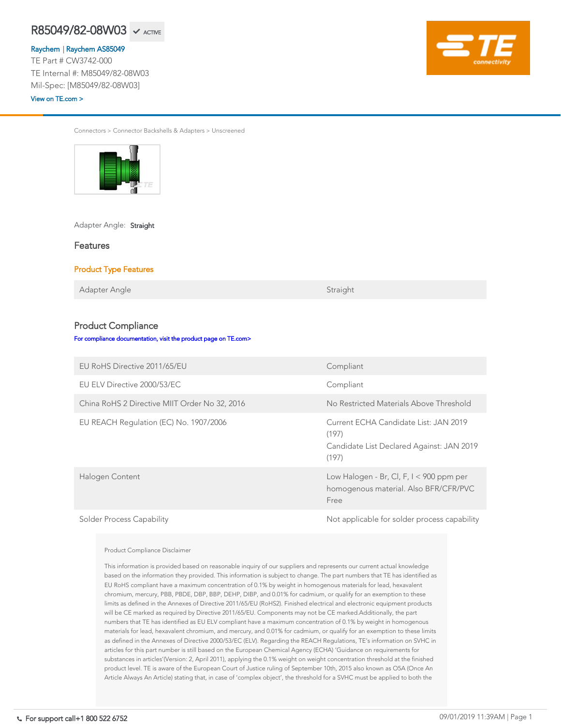Connectors > Connector Backshells & Adapters > Unscreened



Adapter Angle: Straight

Features

### Product Type Features

Adapter Angle Straight

### Product Compliance

[For compliance documentation, visit the product page on TE.com>](https://www.te.com/usa-en/product-CW3742-000.html)

| <b>EU RoHS Directive 2011/65/EU</b>           | Compliant                               |
|-----------------------------------------------|-----------------------------------------|
| EU ELV Directive 2000/53/EC                   | Compliant                               |
| China RoHS 2 Directive MIIT Order No 32, 2016 | No Restricted Materials Above Threshold |

| EU REACH Regulation (EC) No. 1907/2006 | Current ECHA Candidate List: JAN 2019<br>(197)<br>Candidate List Declared Against: JAN 2019<br>(197) |
|----------------------------------------|------------------------------------------------------------------------------------------------------|
| Halogen Content                        | Low Halogen - Br, Cl, F, $I < 900$ ppm per<br>homogenous material. Also BFR/CFR/PVC<br>Free          |
| <b>Solder Process Capability</b>       | Not applicable for solder process capability                                                         |

#### Product Compliance Disclaimer

This information is provided based on reasonable inquiry of our suppliers and represents our current actual knowledge based on the information they provided. This information is subject to change. The part numbers that TE has identified as EU RoHS compliant have a maximum concentration of 0.1% by weight in homogenous materials for lead, hexavalent chromium, mercury, PBB, PBDE, DBP, BBP, DEHP, DIBP, and 0.01% for cadmium, or qualify for an exemption to these limits as defined in the Annexes of Directive 2011/65/EU (RoHS2). Finished electrical and electronic equipment products will be CE marked as required by Directive 2011/65/EU. Components may not be CE marked.Additionally, the part numbers that TE has identified as EU ELV compliant have a maximum concentration of 0.1% by weight in homogenous materials for lead, hexavalent chromium, and mercury, and 0.01% for cadmium, or qualify for an exemption to these limits as defined in the Annexes of Directive 2000/53/EC (ELV). Regarding the REACH Regulations, TE's information on SVHC in articles for this part number is still based on the European Chemical Agency (ECHA) 'Guidance on requirements for substances in articles'(Version: 2, April 2011), applying the 0.1% weight on weight concentration threshold at the finished product level. TE is aware of the European Court of Justice ruling of September 10th, 2015 also known as O5A (Once An Article Always An Article) stating that, in case of 'complex object', the threshold for a SVHC must be applied to both the

#### R85049/82-08W03  $R85049/82-08W03 \sim \text{AGTIVE}$

[Raychem](https://www.te.com/usa-en/plp/ZnE3.html) | [Raychem AS85049](https://www.te.com/usa-en/plp/Xp0weo.html)TE Part # CW3742-000 TE Internal #: M85049/82-08W03 Mil-Spec: [M85049/82-08W03]

[View on TE.com >](https://www.te.com/usa-en/product-CW3742-000.html)

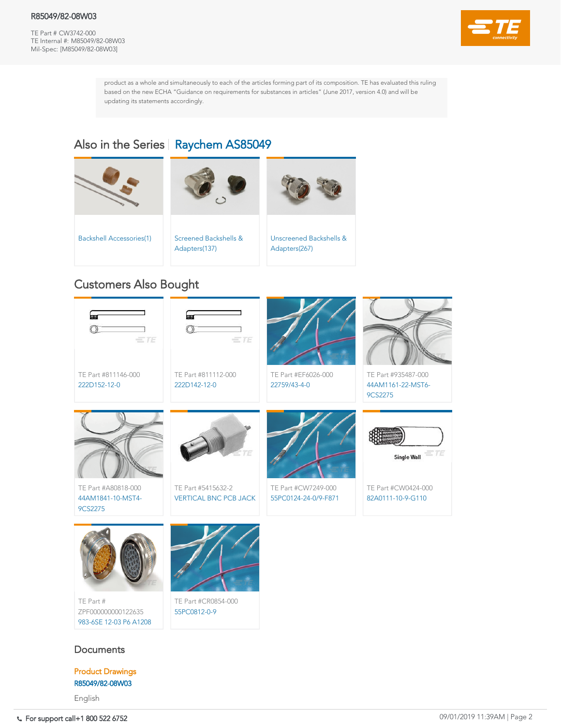### R85049/82-08W03

TE Part # CW3742-000 TE Internal #: M85049/82-08W03 Mil-Spec: [M85049/82-08W03]



product as a whole and simultaneously to each of the articles forming part of its composition. TE has evaluated this ruling based on the new ECHA "Guidance on requirements for substances in articles" (June 2017, version 4.0) and will be updating its statements accordingly.

# Also in the Series | [Raychem AS85049](https://www.te.com/usa-en/plp/Xp0weo.html)

TE Part #CR0854-000 [55PC0812-0-9](https://www.te.com/usa-en/product-CR0854-000.html)

## **Documents**

TE Part # ZPF000000000122635 [983-6SE 12-03 P6 A1208](https://www.te.com/usa-en/product-ZPF000000000122635.html)







TE Part #CW7249-000 [55PC0124-24-0/9-F871](https://www.te.com/usa-en/product-CW7249-000.html)

TE Part #5415632-2 [VERTICAL BNC PCB JACK](https://www.te.com/usa-en/product-5415632-2.html)



TE Part #A80818-000 [44AM1841-10-MST4-](https://www.te.com/usa-en/product-A80818-000.html) 9CS2275









# Customers Also Bought

Product Drawings [R85049/82-08W03](https://www.te.com/commerce/DocumentDelivery/DDEController?Action=showdoc&DocId=Customer+Drawing%7FR85049%2F82%7FC%7Fpdf%7FEnglish%7FENG_CD_R85049X82_C.pdf%7FCW3742-000)

English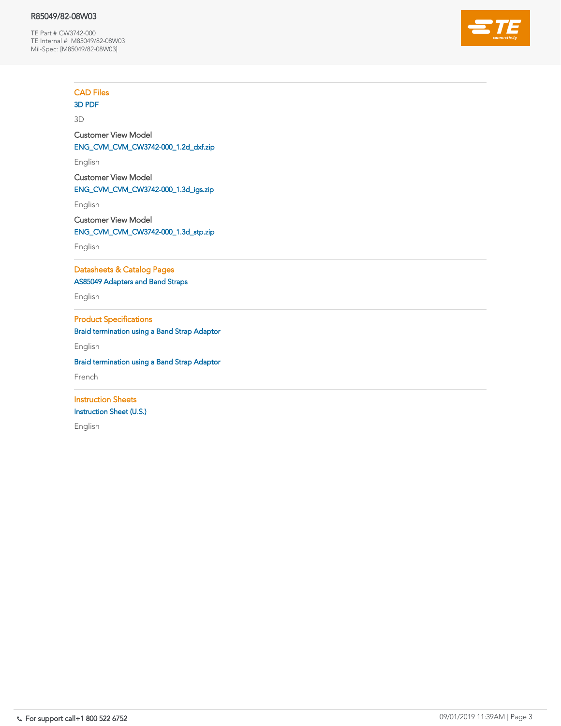### R85049/82-08W03

TE Part # CW3742-000 TE Internal #: M85049/82-08W03 Mil-Spec: [M85049/82-08W03]



CAD Files

## [3D PDF](https://www.te.com/commerce/DocumentDelivery/DDEController?Action=showdoc&DocId=Customer+View+Model%7FCVM_CW3742-000%7F1%7Fpdf%7F3D%7F3D_CVM_CVM_CW3742-000_1.pdf%7FCW3742-000)

3D

Customer View Model [ENG\\_CVM\\_CVM\\_CW3742-000\\_1.2d\\_dxf.zip](https://www.te.com/commerce/DocumentDelivery/DDEController?Action=showdoc&DocId=Customer+View+Model%7FCVM_CW3742-000%7F1%7F2d_dxf.zip%7FEnglish%7FENG_CVM_CVM_CW3742-000_1.2d_dxf.zip%7FCW3742-000)

English

Customer View Model [ENG\\_CVM\\_CVM\\_CW3742-000\\_1.3d\\_igs.zip](https://www.te.com/commerce/DocumentDelivery/DDEController?Action=showdoc&DocId=Customer+View+Model%7FCVM_CW3742-000%7F1%7F3d_igs.zip%7FEnglish%7FENG_CVM_CVM_CW3742-000_1.3d_igs.zip%7FCW3742-000)

English

Customer View Model [ENG\\_CVM\\_CVM\\_CW3742-000\\_1.3d\\_stp.zip](https://www.te.com/commerce/DocumentDelivery/DDEController?Action=showdoc&DocId=Customer+View+Model%7FCVM_CW3742-000%7F1%7F3d_stp.zip%7FEnglish%7FENG_CVM_CVM_CW3742-000_1.3d_stp.zip%7FCW3742-000)

English

Datasheets & Catalog Pages [AS85049 Adapters and Band Straps](https://www.te.com/commerce/DocumentDelivery/DDEController?Action=showdoc&DocId=Data+Sheet%7F1-1773720-2_bandstraps%7F1214%7Fpdf%7FEnglish%7FENG_DS_1-1773720-2_bandstraps_1214.pdf%7FCW3742-000)

English

Product Specifications [Braid termination using a Band Strap Adaptor](https://www.te.com/commerce/DocumentDelivery/DDEController?Action=showdoc&DocId=Specification+Or+Standard%7FELE-3COP-375%7F4%7Fpdf%7FEnglish%7FENG_SS_ELE-3COP-375_4.pdf%7FCW3742-000)

English

[Braid termination using a Band Strap Adaptor](https://www.te.com/commerce/DocumentDelivery/DDEController?Action=showdoc&DocId=Specification+Or+Standard%7FELE-3COP-375%7F4%7Fpdf%7FFrench%7FFRE_SS_ELE-3COP-375_4.pdf%7FCW3742-000)

French

**Instruction Sheets** [Instruction Sheet \(U.S.\)](https://www.te.com/commerce/DocumentDelivery/DDEController?Action=showdoc&DocId=Specification+Or+Standard%7FTUS-41-3038%7FA%7Fpdf%7FEnglish%7FENG_SS_TUS-41-3038_A_tus_41_3038_a.pdf%7FCW3742-000)

English